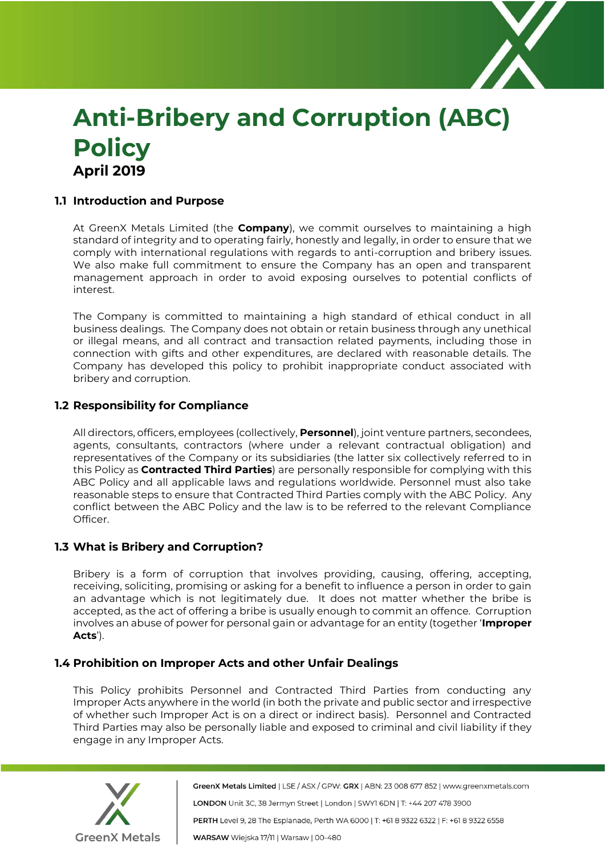

# **Anti-Bribery and Corruption (ABC) Policy April 2019**

# **1.1 Introduction and Purpose**

At GreenX Metals Limited (the **Company**), we commit ourselves to maintaining a high standard of integrity and to operating fairly, honestly and legally, in order to ensure that we comply with international regulations with regards to anti-corruption and bribery issues. We also make full commitment to ensure the Company has an open and transparent management approach in order to avoid exposing ourselves to potential conflicts of interest.

The Company is committed to maintaining a high standard of ethical conduct in all business dealings. The Company does not obtain or retain business through any unethical or illegal means, and all contract and transaction related payments, including those in connection with gifts and other expenditures, are declared with reasonable details. The Company has developed this policy to prohibit inappropriate conduct associated with bribery and corruption.

## **1.2 Responsibility for Compliance**

All directors, officers, employees (collectively, **Personnel**), joint venture partners, secondees, agents, consultants, contractors (where under a relevant contractual obligation) and representatives of the Company or its subsidiaries (the latter six collectively referred to in this Policy as **Contracted Third Parties**) are personally responsible for complying with this ABC Policy and all applicable laws and regulations worldwide. Personnel must also take reasonable steps to ensure that Contracted Third Parties comply with the ABC Policy. Any conflict between the ABC Policy and the law is to be referred to the relevant Compliance Officer.

## **1.3 What is Bribery and Corruption?**

Bribery is a form of corruption that involves providing, causing, offering, accepting, receiving, soliciting, promising or asking for a benefit to influence a person in order to gain an advantage which is not legitimately due. It does not matter whether the bribe is accepted, as the act of offering a bribe is usually enough to commit an offence. Corruption involves an abuse of power for personal gain or advantage for an entity (together '**Improper Acts**').

## **1.4 Prohibition on Improper Acts and other Unfair Dealings**

This Policy prohibits Personnel and Contracted Third Parties from conducting any Improper Acts anywhere in the world (in both the private and public sector and irrespective of whether such Improper Act is on a direct or indirect basis). Personnel and Contracted Third Parties may also be personally liable and exposed to criminal and civil liability if they engage in any Improper Acts.



GreenX Metals Limited | LSE / ASX / GPW: GRX | ABN: 23 008 677 852 | www.greenxmetals.com LONDON Unit 3C, 38 Jermyn Street | London | SWY1 6DN | T: +44 207 478 3900 PERTH Level 9, 28 The Esplanade, Perth WA 6000 | T: +61 8 9322 6322 | F: +61 8 9322 6558 WARSAW Wiejska 17/11 | Warsaw | 00-480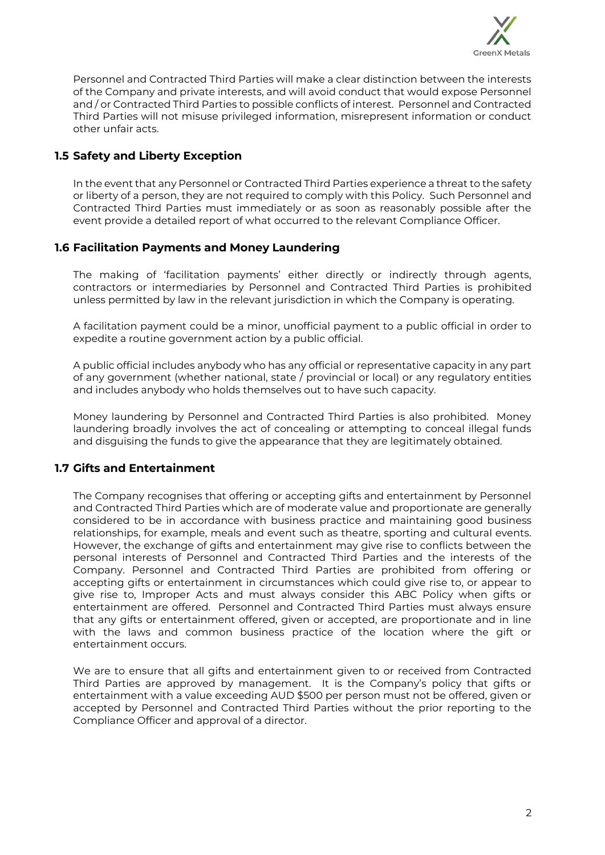

Personnel and Contracted Third Parties will make a clear distinction between the interests of the Company and private interests, and will avoid conduct that would expose Personnel and / or Contracted Third Parties to possible conflicts of interest. Personnel and Contracted Third Parties will not misuse privileged information, misrepresent information or conduct other unfair acts.

# **1.5 Safety and Liberty Exception**

In the event that any Personnel or Contracted Third Parties experience a threat to the safety or liberty of a person, they are not required to comply with this Policy. Such Personnel and Contracted Third Parties must immediately or as soon as reasonably possible after the event provide a detailed report of what occurred to the relevant Compliance Officer.

# **1.6 Facilitation Payments and Money Laundering**

The making of 'facilitation payments' either directly or indirectly through agents, contractors or intermediaries by Personnel and Contracted Third Parties is prohibited unless permitted by law in the relevant jurisdiction in which the Company is operating.

A facilitation payment could be a minor, unofficial payment to a public official in order to expedite a routine government action by a public official.

A public official includes anybody who has any official or representative capacity in any part of any government (whether national, state / provincial or local) or any regulatory entities and includes anybody who holds themselves out to have such capacity.

Money laundering by Personnel and Contracted Third Parties is also prohibited. Money laundering broadly involves the act of concealing or attempting to conceal illegal funds and disguising the funds to give the appearance that they are legitimately obtained.

# **1.7 Gifts and Entertainment**

The Company recognises that offering or accepting gifts and entertainment by Personnel and Contracted Third Parties which are of moderate value and proportionate are generally considered to be in accordance with business practice and maintaining good business relationships, for example, meals and event such as theatre, sporting and cultural events. However, the exchange of gifts and entertainment may give rise to conflicts between the personal interests of Personnel and Contracted Third Parties and the interests of the Company. Personnel and Contracted Third Parties are prohibited from offering or accepting gifts or entertainment in circumstances which could give rise to, or appear to give rise to, Improper Acts and must always consider this ABC Policy when gifts or entertainment are offered. Personnel and Contracted Third Parties must always ensure that any gifts or entertainment offered, given or accepted, are proportionate and in line with the laws and common business practice of the location where the gift or entertainment occurs.

We are to ensure that all gifts and entertainment given to or received from Contracted Third Parties are approved by management. It is the Company's policy that gifts or entertainment with a value exceeding AUD \$500 per person must not be offered, given or accepted by Personnel and Contracted Third Parties without the prior reporting to the Compliance Officer and approval of a director.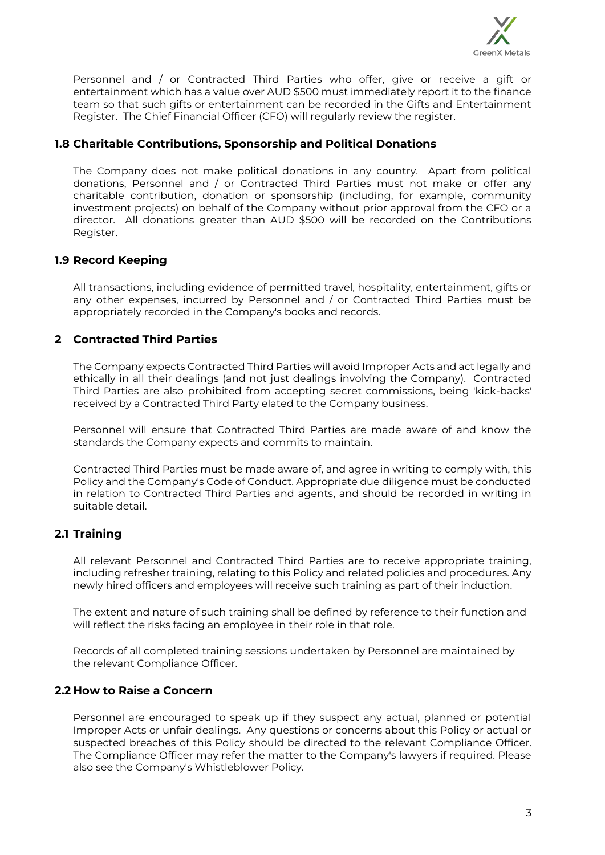

Personnel and / or Contracted Third Parties who offer, give or receive a gift or entertainment which has a value over AUD \$500 must immediately report it to the finance team so that such gifts or entertainment can be recorded in the Gifts and Entertainment Register. The Chief Financial Officer (CFO) will regularly review the register.

## **1.8 Charitable Contributions, Sponsorship and Political Donations**

The Company does not make political donations in any country. Apart from political donations, Personnel and / or Contracted Third Parties must not make or offer any charitable contribution, donation or sponsorship (including, for example, community investment projects) on behalf of the Company without prior approval from the CFO or a director. All donations greater than AUD \$500 will be recorded on the Contributions Register.

## **1.9 Record Keeping**

All transactions, including evidence of permitted travel, hospitality, entertainment, gifts or any other expenses, incurred by Personnel and / or Contracted Third Parties must be appropriately recorded in the Company's books and records.

# **2 Contracted Third Parties**

The Company expects Contracted Third Parties will avoid Improper Acts and act legally and ethically in all their dealings (and not just dealings involving the Company). Contracted Third Parties are also prohibited from accepting secret commissions, being 'kick-backs' received by a Contracted Third Party elated to the Company business.

Personnel will ensure that Contracted Third Parties are made aware of and know the standards the Company expects and commits to maintain.

Contracted Third Parties must be made aware of, and agree in writing to comply with, this Policy and the Company's Code of Conduct. Appropriate due diligence must be conducted in relation to Contracted Third Parties and agents, and should be recorded in writing in suitable detail.

# **2.1 Training**

All relevant Personnel and Contracted Third Parties are to receive appropriate training, including refresher training, relating to this Policy and related policies and procedures. Any newly hired officers and employees will receive such training as part of their induction.

The extent and nature of such training shall be defined by reference to their function and will reflect the risks facing an employee in their role in that role.

Records of all completed training sessions undertaken by Personnel are maintained by the relevant Compliance Officer.

## **2.2 How to Raise a Concern**

Personnel are encouraged to speak up if they suspect any actual, planned or potential Improper Acts or unfair dealings. Any questions or concerns about this Policy or actual or suspected breaches of this Policy should be directed to the relevant Compliance Officer. The Compliance Officer may refer the matter to the Company's lawyers if required. Please also see the Company's Whistleblower Policy.